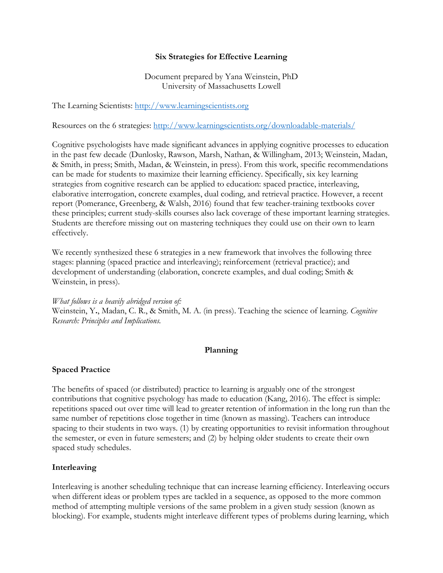## **Six Strategies for Effective Learning**

## Document prepared by Yana Weinstein, PhD University of Massachusetts Lowell

The Learning Scientists: http://www.learningscientists.org

Resources on the 6 strategies: http://www.learningscientists.org/downloadable-materials/

Cognitive psychologists have made significant advances in applying cognitive processes to education in the past few decade (Dunlosky, Rawson, Marsh, Nathan, & Willingham, 2013; Weinstein, Madan, & Smith, in press; Smith, Madan, & Weinstein, in press). From this work, specific recommendations can be made for students to maximize their learning efficiency. Specifically, six key learning strategies from cognitive research can be applied to education: spaced practice, interleaving, elaborative interrogation, concrete examples, dual coding, and retrieval practice. However, a recent report (Pomerance, Greenberg, & Walsh, 2016) found that few teacher-training textbooks cover these principles; current study-skills courses also lack coverage of these important learning strategies. Students are therefore missing out on mastering techniques they could use on their own to learn effectively.

We recently synthesized these 6 strategies in a new framework that involves the following three stages: planning (spaced practice and interleaving); reinforcement (retrieval practice); and development of understanding (elaboration, concrete examples, and dual coding; Smith & Weinstein, in press).

*What follows is a heavily abridged version of:* Weinstein, Y**.**, Madan, C. R., & Smith, M. A. (in press). Teaching the science of learning. *Cognitive Research: Principles and Implications.* 

## **Planning**

### **Spaced Practice**

The benefits of spaced (or distributed) practice to learning is arguably one of the strongest contributions that cognitive psychology has made to education (Kang, 2016). The effect is simple: repetitions spaced out over time will lead to greater retention of information in the long run than the same number of repetitions close together in time (known as massing). Teachers can introduce spacing to their students in two ways. (1) by creating opportunities to revisit information throughout the semester, or even in future semesters; and (2) by helping older students to create their own spaced study schedules.

# **Interleaving**

Interleaving is another scheduling technique that can increase learning efficiency. Interleaving occurs when different ideas or problem types are tackled in a sequence, as opposed to the more common method of attempting multiple versions of the same problem in a given study session (known as blocking). For example, students might interleave different types of problems during learning, which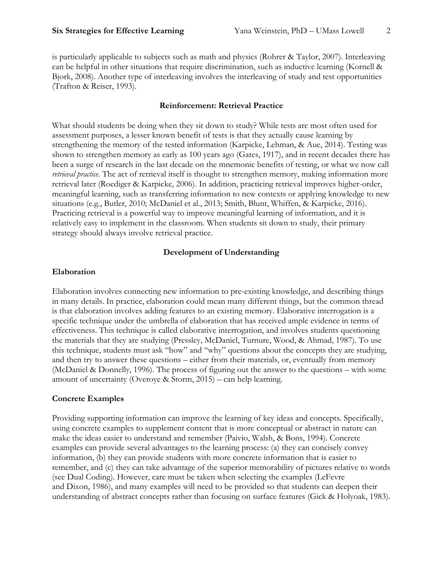is particularly applicable to subjects such as math and physics (Rohrer & Taylor, 2007). Interleaving can be helpful in other situations that require discrimination, such as inductive learning (Kornell & Bjork, 2008). Another type of interleaving involves the interleaving of study and test opportunities (Trafton & Reiser, 1993).

## **Reinforcement: Retrieval Practice**

What should students be doing when they sit down to study? While tests are most often used for assessment purposes, a lesser known benefit of tests is that they actually cause learning by strengthening the memory of the tested information (Karpicke, Lehman, & Aue, 2014). Testing was shown to strengthen memory as early as 100 years ago (Gates, 1917), and in recent decades there has been a surge of research in the last decade on the mnemonic benefits of testing, or what we now call *retrieval practice*. The act of retrieval itself is thought to strengthen memory, making information more retrieval later (Roediger & Karpicke, 2006). In addition, practicing retrieval improves higher-order, meaningful learning, such as transferring information to new contexts or applying knowledge to new situations (e.g., Butler, 2010; McDaniel et al., 2013; Smith, Blunt, Whiffen, & Karpicke, 2016). Practicing retrieval is a powerful way to improve meaningful learning of information, and it is relatively easy to implement in the classroom. When students sit down to study, their primary strategy should always involve retrieval practice.

# **Development of Understanding**

### **Elaboration**

Elaboration involves connecting new information to pre-existing knowledge, and describing things in many details. In practice, elaboration could mean many different things, but the common thread is that elaboration involves adding features to an existing memory. Elaborative interrogation is a specific technique under the umbrella of elaboration that has received ample evidence in terms of effectiveness. This technique is called elaborative interrogation, and involves students questioning the materials that they are studying (Pressley, McDaniel, Turnure, Wood, & Ahmad, 1987). To use this technique, students must ask "how" and "why" questions about the concepts they are studying, and then try to answer these questions – either from their materials, or, eventually from memory (McDaniel & Donnelly, 1996). The process of figuring out the answer to the questions – with some amount of uncertainty (Overoye & Storm, 2015) – can help learning.

# **Concrete Examples**

Providing supporting information can improve the learning of key ideas and concepts. Specifically, using concrete examples to supplement content that is more conceptual or abstract in nature can make the ideas easier to understand and remember (Paivio, Walsh, & Bons, 1994). Concrete examples can provide several advantages to the learning process: (a) they can concisely convey information, (b) they can provide students with more concrete information that is easier to remember, and (c) they can take advantage of the superior memorability of pictures relative to words (see Dual Coding). However, care must be taken when selecting the examples (LeFevre and Dixon, 1986), and many examples will need to be provided so that students can deepen their understanding of abstract concepts rather than focusing on surface features (Gick & Holyoak, 1983).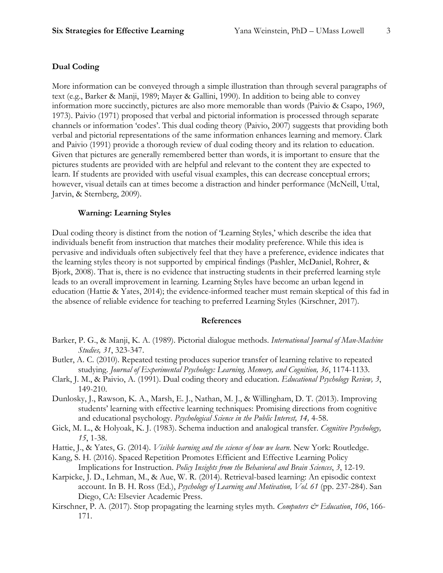### **Dual Coding**

More information can be conveyed through a simple illustration than through several paragraphs of text (e.g., Barker & Manji, 1989; Mayer & Gallini, 1990). In addition to being able to convey information more succinctly, pictures are also more memorable than words (Paivio & Csapo, 1969, 1973). Paivio (1971) proposed that verbal and pictorial information is processed through separate channels or information 'codes'. This dual coding theory (Paivio, 2007) suggests that providing both verbal and pictorial representations of the same information enhances learning and memory. Clark and Paivio (1991) provide a thorough review of dual coding theory and its relation to education. Given that pictures are generally remembered better than words, it is important to ensure that the pictures students are provided with are helpful and relevant to the content they are expected to learn. If students are provided with useful visual examples, this can decrease conceptual errors; however, visual details can at times become a distraction and hinder performance (McNeill, Uttal, Jarvin, & Sternberg, 2009).

#### **Warning: Learning Styles**

Dual coding theory is distinct from the notion of 'Learning Styles,' which describe the idea that individuals benefit from instruction that matches their modality preference. While this idea is pervasive and individuals often subjectively feel that they have a preference, evidence indicates that the learning styles theory is not supported by empirical findings (Pashler, McDaniel, Rohrer, & Bjork, 2008). That is, there is no evidence that instructing students in their preferred learning style leads to an overall improvement in learning. Learning Styles have become an urban legend in education (Hattie & Yates, 2014); the evidence-informed teacher must remain skeptical of this fad in the absence of reliable evidence for teaching to preferred Learning Styles (Kirschner, 2017).

#### **References**

- Barker, P. G., & Manji, K. A. (1989). Pictorial dialogue methods. *International Journal of Man-Machine Studies, 31*, 323-347.
- Butler, A. C. (2010). Repeated testing produces superior transfer of learning relative to repeated studying. *Journal of Experimental Psychology: Learning, Memory, and Cognition, 36*, 1174-1133.
- Clark, J. M., & Paivio, A. (1991). Dual coding theory and education. *Educational Psychology Review, 3*, 149-210.
- Dunlosky, J., Rawson, K. A., Marsh, E. J., Nathan, M. J., & Willingham, D. T. (2013). Improving students' learning with effective learning techniques: Promising directions from cognitive and educational psychology*. Psychological Science in the Public Interest, 14,* 4-58.
- Gick, M. L., & Holyoak, K. J. (1983). Schema induction and analogical transfer. *Cognitive Psychology, 15*, 1-38.
- Hattie, J., & Yates, G. (2014). *Visible learning and the science of how we learn*. New York: Routledge.
- Kang, S. H. (2016). Spaced Repetition Promotes Efficient and Effective Learning Policy Implications for Instruction. *Policy Insights from the Behavioral and Brain Sciences*, *3*, 12-19.
- Karpicke, J. D., Lehman, M., & Aue, W. R. (2014). Retrieval-based learning: An episodic context account. In B. H. Ross (Ed.), *Psychology of Learning and Motivation, Vol. 61* (pp. 237-284). San Diego, CA: Elsevier Academic Press.
- Kirschner, P. A. (2017). Stop propagating the learning styles myth. *Computers & Education*, 106, 166-171.